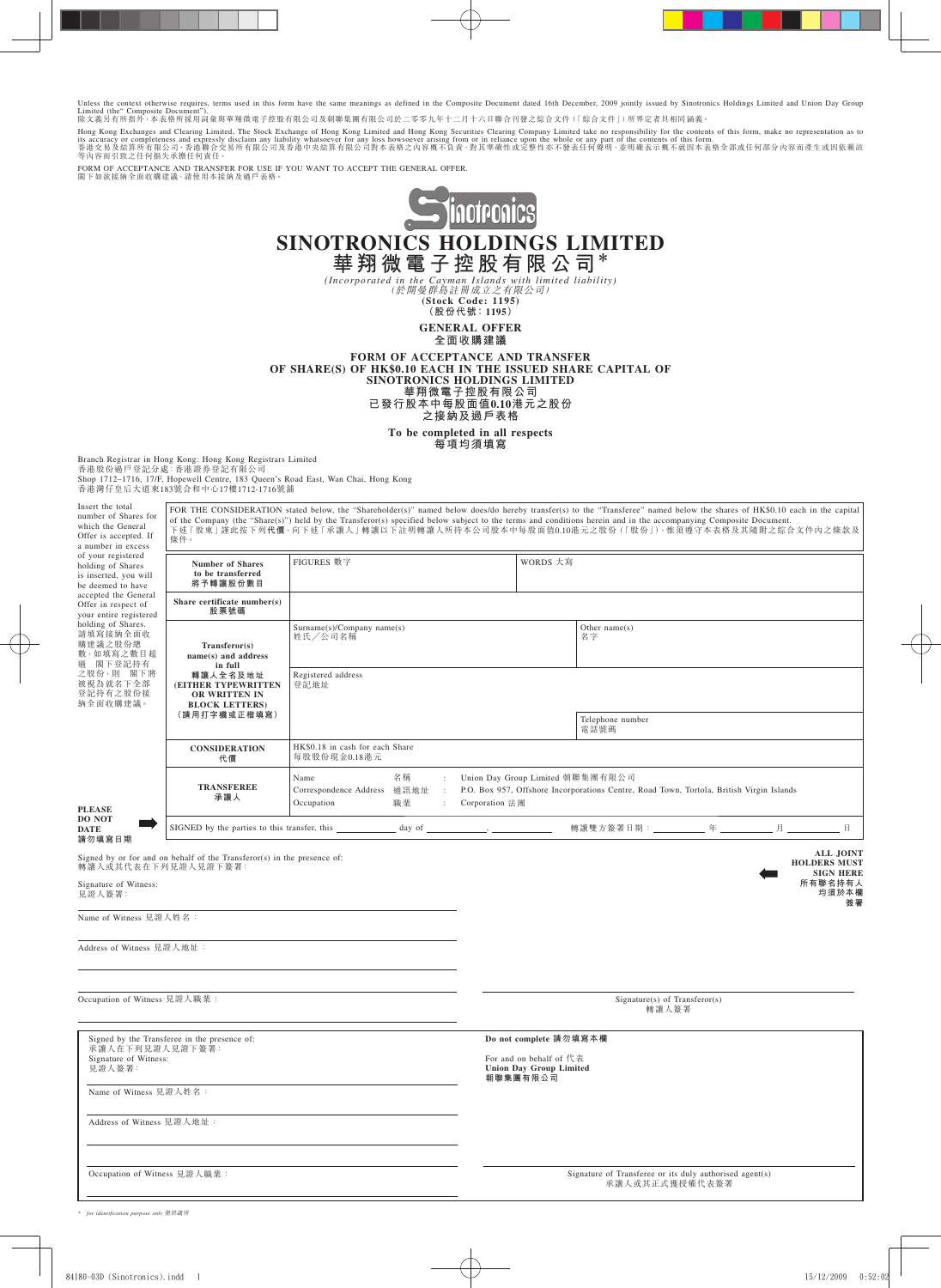Unless the context otherwise requires, terms used in this form have the same meanings as defined in the Composite Document dated 16th December, 2009 jointly issued by Sinotronics Holdings Limited and Union Day Group<br>Limit

Hong Kong Exchanges and Clearing Limited, The Stock Exchange of Hong Kong Limited and Hong Kong Sccurities Clearing Company Limited take no responsibility for the contents of this form, make no representation as to<br>its ac

FORM OF ACCEPTANCE AND TRANSFER FOR USE IF YOU WANT TO ACCEPT THE GENERAL OFFER. 閣下如欲接納全面收購建議,請使用本接納及過戶表格。



**GENERAL OFFER 全面收購建議**

**FORM OF ACCEPTANCE AND TRANSFER OF SHARE(S) OF HK\$0.10 EACH IN THE ISSUED SHARE CAPITAL OF SINOTRONICS HOLDINGS LIMITED 華翔微電子控股有限公司 已發行股本中每股面值0.10港元之股份 之接納及過戶表格**

**To be completed in all respects**

**每項均須填寫**

Branch Registrar in Hong Kong: Hong Kong Registrars Limited<br>香港股份過戶登記分處:香港證券登記有限公司<br>Shop 1712–1716, 17/F, Hopewell Centre, 183 Queen's Road East, Wan Chai, Hong Kong 香港灣仔皇后大道東183號合和中心17樓1712-1716號舖

Insert the total number of Shares for which the General Offer is accepted. If a number in excess of your registered holding of Shares is inserted, you will be deemed to have accepted the General Offer in respect of your entire registered holding of Shares. 請填寫接納全面收 購建議之股份總 數,如填寫之數目超 過 閣下登記持有 之股份,則 閣下將 被視為就名下全部 登記持有之股份接 納全面收購建議。

**PLEASE DO NOT DATE**

FOR THE CONSIDERATION stated below, the "Shareholder(s)" named below does/do hereby transfer(s) to the "Transferee" named below the shares of HK\$0.10 each in the capital of the Company (the "Share(s)") held by the Transferor(s) specified below subject to the terms and conditions herein and in the accompanying Composite Document.<br>下述「股東」謹此按下列代價,向下述「承讓人」轉讓以下註明轉讓人所持本公司股本中每股面值0.10港元之股份(「股份」),惟 條件。 FIGURES 數字 WORDS 大寫 **Number of Shares to be transferred 將予轉讓股份數目 Share certificate number(s) 股票號碼** Other name(s) Surname(s)/Company name(s) 姓氏╱公司名稱 名字 **Transferor(s) name(s) and address in full 轉讓人全名及地址** Registered address **(EITHER TYPEWRITTEN** 登記地址 **OR WRITTEN IN BLOCK LETTERS) (請用打字機或正楷填寫)** Telephone number 電話號碼 HK\$0.18 in cash for each Share **CONSIDERATION** 每股股份現金0.18港元 **代價** Name <br>  $2\frac{1}{4}$  25  $\frac{1}{4}$  26  $\frac{1}{4}$  26  $\frac{1}{4}$  26  $\frac{1}{4}$  26  $\frac{1}{4}$  26  $\frac{1}{4}$  26  $\frac{1}{4}$  26  $\frac{1}{4}$  26  $\frac{1}{4}$  26  $\frac{1}{4}$  26  $\frac{1}{4}$  26  $\frac{1}{4}$  26  $\frac{1}{4}$  26  $\frac{1}{4}$  26  $\frac{1}{4}$  26  $\frac{1$ **TRANSFEREE** 通訊地址 : P.O. Box 957, Offshore Incorporations Centre, Road Town, Tortola, British Virgin Islands<br>職業 : Corporation 法團 **承讓人** Occupation **職業** : Corporation 法團 п SIGNED by the parties to this transfer, this day of the quality of the set of the parties to this transfer, this day of the set of the set of the set of the set of the set of the set of the set of the set of the set of th **請勿填寫日期 ALL JOINT** Signed by or for and on behalf of the Transferor(s) in the presence of: 轉讓人或其代表在下列見證人見證下簽署: **HOLDERS MUST SIGN HERE 所有聯名持有人** Signature of Witness: **均須於本欄** 見證人簽署: **簽署** Name of Witness 見證人姓名:

Address of Witness 見證人地址:

**Occupation of Witness 見證人職業:** Signature(s) of Transferor(s)

轉讓人簽署

**Do not complete 請勿填寫本欄** For and on behalf of 代表 **Union Day Group Limited 朝聯集團有限公司**

Signed by the Transferee in the presence of: 承讓人在下列見證人見證下簽署: Signature of Witness: 見證人簽署:

Name of Witness 見證人姓名:

Address of Witness 見證人地址:

Occupation of Witness 見證人職業 : Signature of Transferee or its duly authorised agent(s)

承讓人或其正式獲授權代表簽署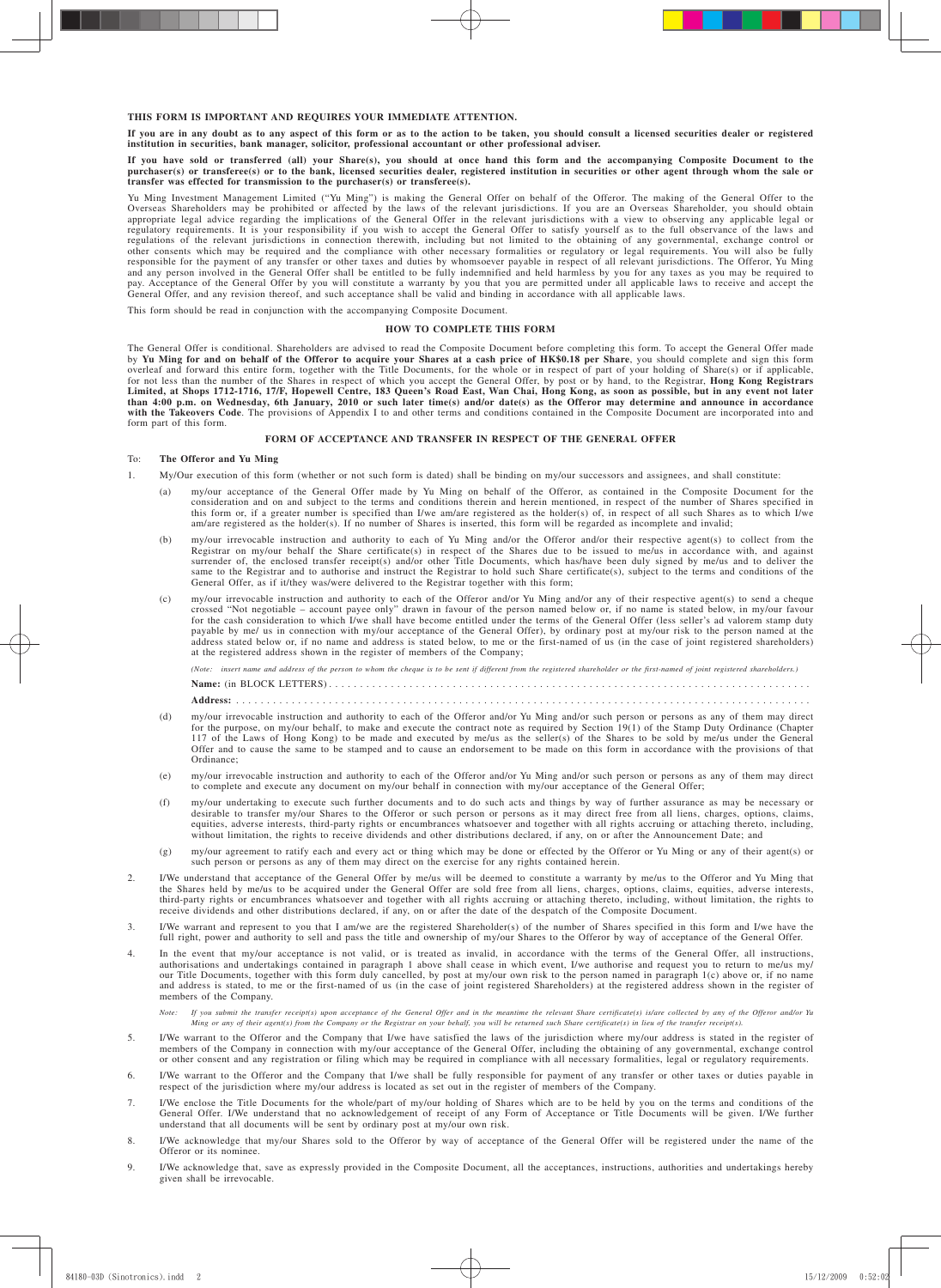#### **THIS FORM IS IMPORTANT AND REQUIRES YOUR IMMEDIATE ATTENTION.**

**If you are in any doubt as to any aspect of this form or as to the action to be taken, you should consult a licensed securities dealer or registered institution in securities, bank manager, solicitor, professional accountant or other professional adviser.**

If you have sold or transferred (all) your Share(s), you should at once hand this form and the accompanying Composite Document to the<br>purchaser(s) or transferee(s) or to the bank, licensed securities dealer, registered ins **transfer was effected for transmission to the purchaser(s) or transferee(s).**

Yu Ming Investment Management Limited ("Yu Ming") is making the General Offer on behalf of the Offeror. The making of the General Offer to the Overseas Shareholders may be prohibited or affected by the laws of the relevant jurisdictions. If you are an Overseas Shareholder, you should obtain appropriate legal advice regarding the implications of the General Offer in the relevant jurisdictions with a view to observing any applicable legal or<br>regulatory requirements. It is your responsibility if you wish to acce regulations of the relevant jurisdictions in connection therewith, including but not limited to the obtaining of any governmental, exchange control or other consents which may be required and the compliance with other necessary formalities or regulatory or legal requirements. You will also be fully<br>responsible for the payment of any transfer or other taxes and duties by and any person involved in the General Offer shall be entitled to be fully indemnified and held harmless by you for any taxes as you may be required to pay. Acceptance of the General Offer by you will constitute a warranty by you that you are permitted under all applicable laws to receive and accept the<br>General Offer, and any revision thereof, and such acceptance shall be

This form should be read in conjunction with the accompanying Composite Document.

# **HOW TO COMPLETE THIS FORM**

The General Offer is conditional. Shareholders are advised to read the Composite Document before completing this form. To accept the General Offer made by **Yu Ming for and on behalf of the Offeror to acquire your Shares at a cash price of HK\$0.18 per Share**, you should complete and sign this form overleaf and forward this entire form, together with the Title Documents, for the whole or in respect of part of your holding of Share(s) or if applicable,<br>for not less than the number of the Shares in respect of which you **Limited, at Shops 1712-1716, 17/F, Hopewell Centre, 183 Queen's Road East, Wan Chai, Hong Kong, as soon as possible, but in any event not later than 4:00 p.m. on Wednesday, 6th January, 2010 or such later time(s) and/or date(s) as the Offeror may determine and announce in accordance**  with the Takeovers Code. The provisions of Appendix I to and other terms and conditions contained in the Composite Document are incorporated into and form part of this form.

## **FORM OF ACCEPTANCE AND TRANSFER IN RESPECT OF THE GENERAL OFFER**

# To: **The Offeror and Yu Ming**

- 1. My/Our execution of this form (whether or not such form is dated) shall be binding on my/our successors and assignees, and shall constitute:
	- (a) my/our acceptance of the General Offer made by Yu Ming on behalf of the Offeror, as contained in the Composite Document for the consideration and on and subject to the terms and conditions therein and herein mentioned, this form or, if a greater number is specified than I/we am/are registered as the holder(s) of, in respect of all such Shares as to which I/we am/are registered as the holder(s). If no number of Shares is inserted, this form will be regarded as incomplete and invalid;
	- (b) my/our irrevocable instruction and authority to each of Yu Ming and/or the Offeror and/or their respective agent(s) to collect from the Registrar on my/our behalf the Share certificate(s) in respect of the Shares due t same to the Registrar and to authorise and instruct the Registrar to hold such Share certificate(s), subject to the terms and conditions of the General Offer, as if it/they was/were delivered to the Registrar together with this form;
	- (c) my/our irrevocable instruction and authority to each of the Offeror and/or Yu Ming and/or any of their respective agent(s) to send a cheque crossed "Not negotiable account payee only" drawn in favour of the person na for the cash consideration to which I/we shall have become entitled under the terms of the General Offer (less seller's ad valorem stamp duty payable by me/ us in connection with my/our acceptance of the General Offer), by ordinary post at my/our risk to the person named at the address stated below or, if no name and address is stated below, to me or the first-named of us (in the case of joint registered shareholders) at the registered address shown in the register of members of the Company;

*(Note: insert name and address of the person to whom the cheque is to be sent if different from the registered shareholder or the first-named of joint registered shareholders.)* **Name:** (in BLOCK LETTERS) . . . . . . . . . . . . . . . . . . . . . . . . . . . . . . . . . . . . . . . . . . . . . . . . . . . . . . . . . . . . . . . . . . . . . . . . . . . . . . **Address:** . . . . . . . . . . . . . . . . . . . . . . . . . . . . . . . . . . . . . . . . . . . . . . . . . . . . . . . . . . . . . . . . . . . . . . . . . . . . . . . . . . . . . . . . . . . . .

- (d) my/our irrevocable instruction and authority to each of the Offeror and/or Yu Ming and/or such person or persons as any of them may direct<br>for the purpose, on my/our behalf, to make and execute the contract note as req 117 of the Laws of Hong Kong) to be made and executed by me/us as the seller(s) of the Shares to be sold by me/us under the General Offer and to cause the same to be stamped and to cause an endorsement to be made on this form in accordance with the provisions of that Ordinance;
- (e) my/our irrevocable instruction and authority to each of the Offeror and/or Yu Ming and/or such person or persons as any of them may direct to complete and execute any document on my/our behalf in connection with my/our acceptance of the General Offer;
- (f) my/our undertaking to execute such further documents and to do such acts and things by way of further assurance as may be necessary or desirable to transfer my/our Shares to the Offeror or such person or persons as it may direct free from all liens, charges, options, claims, claims, equities, adverse interests, third-party rights or encumbrances whatsoever and together with all rights accruing or attaching thereto, including, without limitation, the rights to receive dividends and other distributions declared, if any, on or after the Announcement Date; and
- (g) my/our agreement to ratify each and every act or thing which may be done or effected by the Offeror or Yu Ming or any of their agent(s) or such person or persons as any of them may direct on the exercise for any rights
- 2. I/We understand that acceptance of the General Offer by me/us will be deemed to constitute a warranty by me/us to the Offeror and Yu Ming that In extractional cancer control to be acquired under the General Offer are sold free from all liens, charges, options, claims, equities, adverse interests, the Shares held by me/us to be acquired under the General Offer are third-party rights or encumbrances whatsoever and together with all rights accruing or attaching thereto, including, without limitation, the rights to receive dividends and other distributions declared, if any, on or after the date of the despatch of the Composite Document.
- 3. I/We warrant and represent to you that I am/we are the registered Shareholder(s) of the number of Shares specified in this form and I/we have the full right, power and authority to sell and pass the title and ownership of my/our Shares to the Offeror by way of acceptance of the General Offer.
- 4. In the event that my/our acceptance is not valid, or is treated as invalid, in accordance with the terms of the General Offer, all instructions, authorisations and undertakings contained in paragraph 1 above shall cease in which event, I/we authorise and request you to return to me/us my/<br>authorisations and undertakings contained in paragraph 1 above shall cease in our Title Documents, together with this form duly cancelled, by post at my/our own risk to the person named in paragraph 1(c) above or, if no name and address is stated, to me or the first-named of us (in the case of joint registered Shareholders) at the registered address shown in the register of members of the Company.
	- Note: If you submit the transfer receipt(s) upon acceptance of the General Offer and in the meantime the relevant Share certificate(s) is/are collected by any of the Offeror and/or Yu<br>Ming or any of their agent(s) from the
- 5. I/We warrant to the Offeror and the Company that I/we have satisfied the laws of the jurisdiction where my/our address is stated in the register of members of the Company in connection with my/our acceptance of the General Offer, including the obtaining of any governmental, exchange control or other consent and any registration or filing which may be required in compliance with all necessary formalities, legal or regulatory requirements.
- 6. I/We warrant to the Offeror and the Company that I/we shall be fully responsible for payment of any transfer or other taxes or duties payable in respect of the jurisdiction where my/our address is located as set out in
- 7. I/We enclose the Title Documents for the whole/part of my/our holding of Shares which are to be held by you on the terms and conditions of the<br>General Offer. I/We understand that no acknowledgement of receipt of any For understand that all documents will be sent by ordinary post at my/our own risk.
- 8. I/We acknowledge that my/our Shares sold to the Offeror by way of acceptance of the General Offer will be registered under the name of the Offeror or its nominee.
- 9. I/We acknowledge that, save as expressly provided in the Composite Document, all the acceptances, instructions, authorities and undertakings hereby given shall be irrevocable.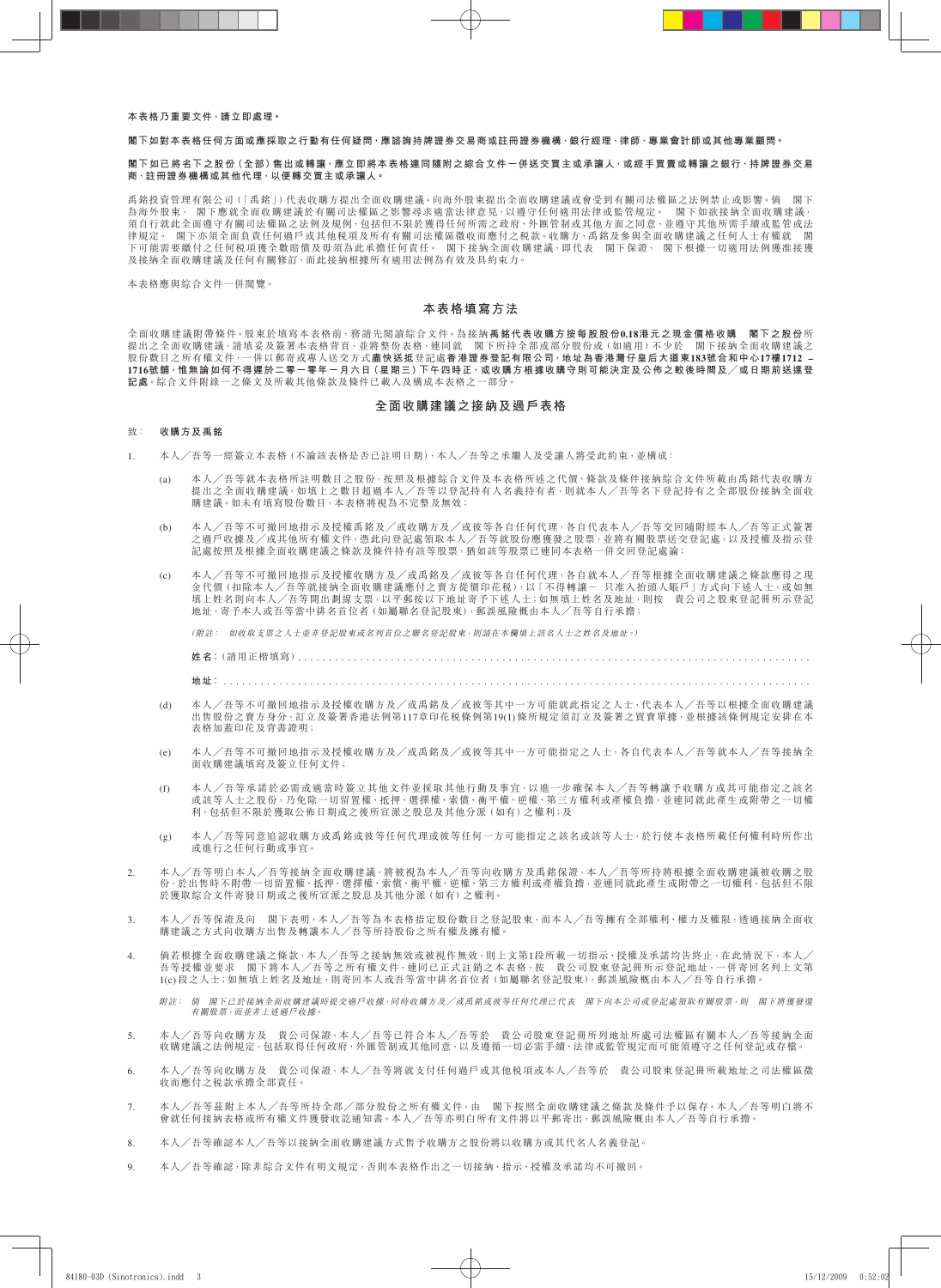### **本表格乃重要文件,請立即處理。**

#### **閣下如對本表格任何方面或應採取之行動有任何疑問,應諮詢持牌證券交易商或註冊證券機構、銀行經理、律師、專業會計師或其他專業顧問。**

### **閣下如已將名下之股份(全部)售出或轉讓,應立即將本表格連同隨附之綜合文件一併送交買主或承讓人,或經手買賣或轉讓之銀行、持牌證券交易 商、註冊證券機構或其他代理,以便轉交買主或承讓人。**

禹銘投資管理有限公司(「禹銘」)代表收購方提出全面收購建議。向海外股東提出全面收購建議或會受到有關司法權區之法例禁止或影響。倘 閣下 為海外股東, 閣下應就全面收購建議於有關司法權區之影響尋求適當法律意見,以遵守任何適用法律或監管規定。 閣下如欲接納全面收購建議, 須自行就此全面遵守有關司法權區之法例及規例,包括但不限於獲得任何所需之政府、外匯管制或其他方面之同意,並遵守其他所需手續或監管或法 律規定。 閣下亦須全面負責任何過戶或其他稅項及所有有關司法權區徵收而應付之稅款。收購方、禹銘及參與全面收購建議之任何人士有權就 閣 下可能需要繳付之任何税項獲全數賠償及毋須為此承擔任何責任。 閣下接納全面收購建議,即代表 閣下保證, 閣下根據一切適用法例獲准接獲 及接納全面收購建議及任何有關修訂,而此該納根據所有適用法例為有效及具約束力。

本表格應與綜合文件一併閱覽。

## **本表格填寫方法**

全面收購建議附帶條件。股東於填寫本表格前,務請先閱讀綜合文件。為接納**禹銘代表收購方按每股股份0.18港元之現金價格收購 閣下之股份**所 提出之全面收購建議,請填妥及簽署本表格背頁,並將整份表格,連同就 閣下所持全部或部分股份或(如適用)不少於 閣下接納全面收購建議之 股份數目之所有權文件,一併以郵寄或專人送交方式**盡快送抵**登記處**香港證券登記有限公司,地址為香港灣仔皇后大道東183號合和中心17樓1712 –**  1716號舖<sup>,</sup>惟無論如何不得遲於二零一零年一月六日 (星期三)ト午四時正<sup>,</sup>或收購方根據收購守則可能決定及公佈之較後時間及/或日期前送達登 **記處**。綜合文件附錄一之條文及所載其他條款及條件已載入及構成本表格之一部分。

## **全面收購建議之接納及過戶表格**

# 致: **收購方及禹銘**

- 1. 本人╱吾等一經簽立本表格(不論該表格是否已註明日期),本人╱吾等之承繼人及受讓人將受此約束,並構成:
	- (a) 本人╱吾等就本表格所註明數目之股份,按照及根據綜合文件及本表格所述之代價、條款及條件接納綜合文件所載由禹銘代表收購方 提出之全面收購建議,如填上之數目超過本人╱吾等以登記持有人名義持有者,則就本人╱吾等名下登記持有之全部股份接納全面收 購建議。如未有填寫股份數目,本表格將視為不完整及無效;
	- (b) 本人/吾等不可撤回地指示及授權禹銘及/或收購方及/或彼等各自任何代理,各自代表本人/吾等交回隨附經本人/吾等正式簽署 之過戶收據及/或其他所有權文件,憑此向登記處領取本人/吾等就股份應獲發之股票,並將有關股票送交登記處,以及授權及指示登 記處按照及根據全面收購建議之條款及條件持有該等股票,猶如該等股票已連同本表格一併交回登記處論;
	- (c) 本人╱吾等不可撤回地指示及授權收購方及╱或禹銘及╱或彼等各自任何代理,各自就本人╱吾等根據全面收購建議之條款應得之現 金代價 (扣除本人/吾等就接納全面收購建議應付之賣方從價印花税),以 | 不得轉讓- 只准入抬頭人賬戶 | 方式向下述人士,或如無 填上姓名則向本人╱吾等開出劃線支票,以平郵按以下地址寄予下述人士;如無填上姓名及地址,則按 貴公司之股東登記冊所示登記 地址,寄予本人或吾等當中排名首位者(如屬聯名登記股東),郵誤風險概由本人╱吾等自行承擔;

(附註: 如收取支票之人士並非登記股東或名列首位之聯名登記股東,則請在本欄填上該名人士之姓名及地址。)

**姓名**: (請用正楷埴寫)

**地址:** . . . . . . . . . . . . . . . . . . . . . . . . . . . . . . . . . . . . . . . . . . . . . . . . . . . . . . . . . . . . . . . . . . . . . . . . . . . . . . . . . . . . . . . . . . . . . . .

- (d) 本人╱吾等不可撤回地指示及授權收購方及╱或禹銘及╱或彼等其中一方可能就此指定之人士,代表本人╱吾等以根據全面收購建議 出售股份之賣方身分,訂立及簽署香港法例第117章印花稅條例第19(1) 條所規定須訂立及簽署之買賣單據,並根據該條例規定安排在本 表格加蓋印花及背書證明;
- (e) 本人╱吾等不可撤回地指示及授權收購方及╱或禹銘及╱或彼等其中一方可能指定之人士,各自代表本人╱吾等就本人╱吾等接納全 面收購建議填寫及簽立任何文件;
- (f) 本人╱吾等承諾於必需或適當時簽立其他文件並採取其他行動及事宜,以進一步確保本人╱吾等轉讓予收購方或其可能指定之該名 或該等人士之股份,乃免除一切留置權、抵押、選擇權、索償、衡平權、逆權、第三方權利或產權負擔,並連同就此產生或附帶之一切權 利,包括但不限於獲取公佈日期或之後所宣派之股息及其他分派(如有)之權利;及
- (g) 本人╱吾等同意追認收購方或禹銘或彼等任何代理或彼等任何一方可能指定之該名或該等人士,於行使本表格所載任何權利時所作出 或進行之任何行動或事宜。
- 2. 本人/吾等明白本人/吾等接納全面收購建議,將被視為本人/吾等向收購方及禹銘保證,本人/吾等所持將根據全面收購建議被收購之股 平八/ 日寸の口午八/ 日寸以前主向八神注戦 / 川政元海十八/ 日 J 中八研2 公門和佐監 イン/ 日 J 2143 K K A H K A 2 K A K A K A K A K A K A<br>份,於出售時不附帶一切留置權、抵押、選擇權、索償、衡平權、逆權、第三方權利或產權負擔,並連同就此產生或附帶之一切權利,包括但不限 於獲取綜合文件寄發日期或之後所宣派之股息及其他分派(如有)之權利。
- 3. 本人/吾等保證及向 閣下表明,本人/吾等為本表格指定股份數目之登記股東,而本人/吾等擁有全部權利、權力及權限,透過接納全面收 購建議之方式向收購方出售及轉讓本人╱吾等所持股份之所有權及擁有權。
- 4. 倘若根據全面收購建議之條款,本人/吾等之接納無效或被視作無效,則上文第1段所載一切指示、授權及承諾均告終止,在此情況下,本人/ 吾等授權並要求 閣下將本人/吾等之所有權文件,連同已正式註銷之本表格,按 貴公司股東登記冊所示登記地址,一併寄回名列上文第 1(c) 段之人士;如無填上姓名及地址,則寄回本人或吾等當中排名首位者(如屬聯名登記股東),郵誤風險概由本人╱吾等自行承擔。

附註: 倘 閣下已於接納全面收購建議時提交過戶收據,同時收購方及╱或禹銘或彼等任何代理已代表 閣下向本公司或登記處領取有關股票,則 閣下將獲發還 而 高 , 已於 及新主品 及海是歐,

- 5. 本人/吾等向收購方及 貴公司保證,本人/吾等已符合本人/吾等於 貴公司股東登記冊所列地址所處司法權區有關本人/吾等接納全面 收購建議之法例規定,包括取得任何政府、外匯管制或其他同意,以及遵循一切必需手續、法律或監管規定而可能須遵守之任何登記或存檔。
- 6. 本人╱吾等向收購方及 貴公司保證,本人╱吾等將就支付任何過戶或其他稅項或本人╱吾等於 貴公司股東登記冊所載地址之司法權區徵 收而應付之稅款承擔全部責任。
- 7. 本人╱吾等茲附上本人╱吾等所持全部╱部分股份之所有權文件,由 閣下按照全面收購建議之條款及條件予以保存。本人╱吾等明白將不 會就任何接納表格或所有權文件獲發收訖通知書。本人╱吾等亦明白所有文件將以平郵寄出,郵誤風險概由本人╱吾等自行承擔。
- 8. 本人╱吾等確認本人╱吾等以接納全面收購建議方式售予收購方之股份將以收購方或其代名人名義登記。
- 9. 本人╱吾等確認,除非綜合文件有明文規定,否則本表格作出之一切接納、指示、授權及承諾均不可撤回。